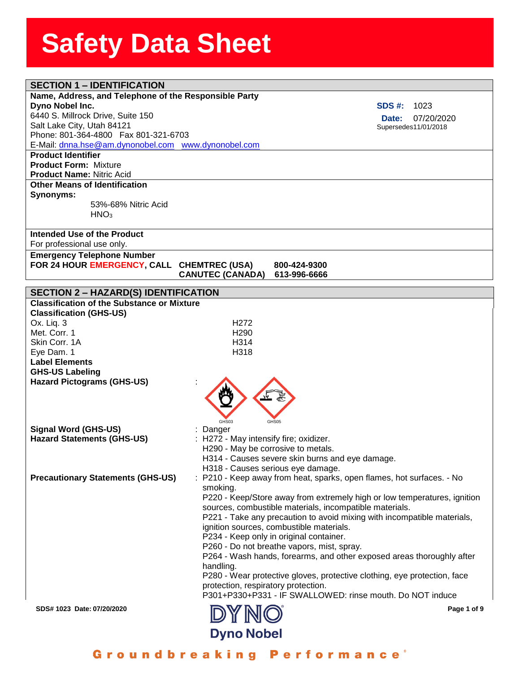| <b>SECTION 1 - IDENTIFICATION</b>                                |                                        |                                                                          |
|------------------------------------------------------------------|----------------------------------------|--------------------------------------------------------------------------|
| Name, Address, and Telephone of the Responsible Party            |                                        |                                                                          |
| Dyno Nobel Inc.                                                  |                                        | <b>SDS #:</b><br>1023                                                    |
| 6440 S. Millrock Drive, Suite 150                                |                                        | 07/20/2020<br>Date:                                                      |
| Salt Lake City, Utah 84121                                       |                                        | Supersedes11/01/2018                                                     |
| Phone: 801-364-4800  Fax 801-321-6703                            |                                        |                                                                          |
| E-Mail: dnna.hse@am.dynonobel.com www.dynonobel.com              |                                        |                                                                          |
| <b>Product Identifier</b>                                        |                                        |                                                                          |
| <b>Product Form: Mixture</b><br><b>Product Name: Nitric Acid</b> |                                        |                                                                          |
| <b>Other Means of Identification</b>                             |                                        |                                                                          |
| Synonyms:                                                        |                                        |                                                                          |
| 53%-68% Nitric Acid                                              |                                        |                                                                          |
| HNO <sub>3</sub>                                                 |                                        |                                                                          |
|                                                                  |                                        |                                                                          |
| Intended Use of the Product                                      |                                        |                                                                          |
| For professional use only.                                       |                                        |                                                                          |
| <b>Emergency Telephone Number</b>                                |                                        |                                                                          |
| FOR 24 HOUR EMERGENCY, CALL CHEMTREC (USA)                       |                                        | 800-424-9300                                                             |
|                                                                  | <b>CANUTEC (CANADA)</b>                | 613-996-6666                                                             |
| <b>SECTION 2 - HAZARD(S) IDENTIFICATION</b>                      |                                        |                                                                          |
| <b>Classification of the Substance or Mixture</b>                |                                        |                                                                          |
| <b>Classification (GHS-US)</b>                                   |                                        |                                                                          |
| Ox. Liq. 3                                                       | H <sub>272</sub>                       |                                                                          |
| Met. Corr. 1                                                     | H <sub>290</sub>                       |                                                                          |
| Skin Corr. 1A                                                    | H314                                   |                                                                          |
| Eye Dam. 1                                                       | H318                                   |                                                                          |
| <b>Label Elements</b>                                            |                                        |                                                                          |
| <b>GHS-US Labeling</b>                                           |                                        |                                                                          |
| <b>Hazard Pictograms (GHS-US)</b>                                |                                        |                                                                          |
|                                                                  |                                        |                                                                          |
|                                                                  |                                        |                                                                          |
|                                                                  |                                        |                                                                          |
| <b>Signal Word (GHS-US)</b>                                      | GHS03<br>: Danger                      | GHS05                                                                    |
| <b>Hazard Statements (GHS-US)</b>                                | : H272 - May intensify fire; oxidizer. |                                                                          |
|                                                                  | H290 - May be corrosive to metals.     |                                                                          |
|                                                                  |                                        | H314 - Causes severe skin burns and eye damage.                          |
|                                                                  |                                        | H318 - Causes serious eye damage.                                        |
| <b>Precautionary Statements (GHS-US)</b>                         |                                        | : P210 - Keep away from heat, sparks, open flames, hot surfaces. - No    |
|                                                                  | smoking.                               |                                                                          |
|                                                                  |                                        | P220 - Keep/Store away from extremely high or low temperatures, ignition |
|                                                                  |                                        | sources, combustible materials, incompatible materials.                  |
|                                                                  |                                        | P221 - Take any precaution to avoid mixing with incompatible materials,  |
|                                                                  |                                        | ignition sources, combustible materials.                                 |
|                                                                  |                                        | P234 - Keep only in original container.                                  |
|                                                                  |                                        | P260 - Do not breathe vapors, mist, spray.                               |
|                                                                  |                                        | P264 - Wash hands, forearms, and other exposed areas thoroughly after    |
|                                                                  | handling.                              |                                                                          |
|                                                                  | protection, respiratory protection.    | P280 - Wear protective gloves, protective clothing, eye protection, face |
|                                                                  |                                        | P301+P330+P331 - IF SWALLOWED: rinse mouth. Do NOT induce                |
|                                                                  |                                        |                                                                          |
| SDS# 1023 Date: 07/20/2020                                       |                                        | Page 1 of 9                                                              |
|                                                                  |                                        |                                                                          |
| <b>Dyno Nobel</b>                                                |                                        |                                                                          |

Groundbreaking Performance<sup>®</sup>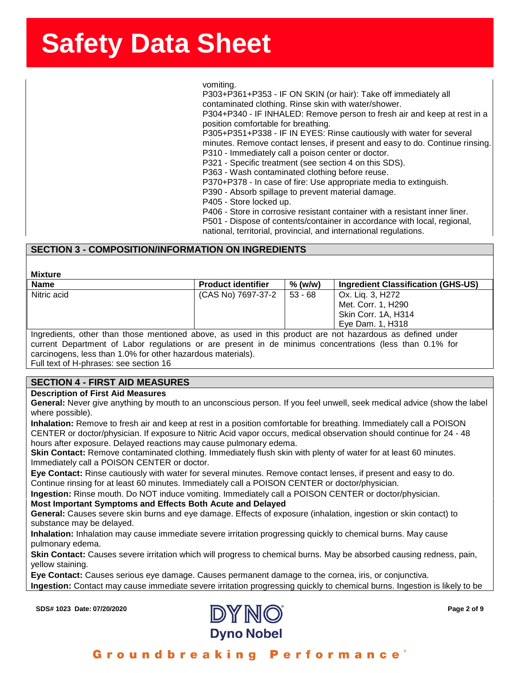ssense in the state of the state of the state of the state of the state of the state of the state of the state o<br>SherrSheet SherrSheet SherrSheet SherrSheet SherrSheet SherrSheet SherrSheet SherrSheet SherrSheet SherrSheet vomiting.

P303+P361+P353 - IF ON SKIN (or hair): Take off immediately all contaminated clothing. Rinse skin with water/shower. P304+P340 - IF INHALED: Remove person to fresh air and keep at rest in a position comfortable for breathing. P305+P351+P338 - IF IN EYES: Rinse cautiously with water for several minutes. Remove contact lenses, if present and easy to do. Continue rinsing. P310 - Immediately call a poison center or doctor. P321 - Specific treatment (see section 4 on this SDS). P363 - Wash contaminated clothing before reuse. P370+P378 - In case of fire: Use appropriate media to extinguish. P390 - Absorb spillage to prevent material damage. P405 - Store locked up. P406 - Store in corrosive resistant container with a resistant inner liner.

P501 - Dispose of contents/container in accordance with local, regional, national, territorial, provincial, and international regulations.

### **SECTION 3 - COMPOSITION/INFORMATION ON INGREDIENTS**

#### **Mixture**

| <b>Name</b>                                                                                               | <b>Product identifier</b> | $%$ (w/w) | <b>Ingredient Classification (GHS-US)</b> |
|-----------------------------------------------------------------------------------------------------------|---------------------------|-----------|-------------------------------------------|
| Nitric acid                                                                                               | (CAS No) 7697-37-2        | $53 - 68$ | Ox. Lig. 3, H272                          |
|                                                                                                           |                           |           | Met. Corr. 1, H290                        |
|                                                                                                           |                           |           | Skin Corr. 1A, H314                       |
|                                                                                                           |                           |           | Eve Dam. 1. H318                          |
| Ingredients, other than those mentioned above, as used in this product are not hazardous as defined under |                           |           |                                           |

current Department of Labor regulations or are present in de minimus concentrations (less than 0.1% for carcinogens, less than 1.0% for other hazardous materials).

Full text of H-phrases: see section 16

#### **SECTION 4 - FIRST AID MEASURES**

#### **Description of First Aid Measures**

**General:** Never give anything by mouth to an unconscious person. If you feel unwell, seek medical advice (show the label where possible).

**Inhalation:** Remove to fresh air and keep at rest in a position comfortable for breathing. Immediately call a POISON CENTER or doctor/physician. If exposure to Nitric Acid vapor occurs, medical observation should continue for 24 - 48 hours after exposure. Delayed reactions may cause pulmonary edema.

**Skin Contact:** Remove contaminated clothing. Immediately flush skin with plenty of water for at least 60 minutes. Immediately call a POISON CENTER or doctor.

**Eye Contact:** Rinse cautiously with water for several minutes. Remove contact lenses, if present and easy to do. Continue rinsing for at least 60 minutes. Immediately call a POISON CENTER or doctor/physician.

**Ingestion:** Rinse mouth. Do NOT induce vomiting. Immediately call a POISON CENTER or doctor/physician. **Most Important Symptoms and Effects Both Acute and Delayed**

**General:** Causes severe skin burns and eye damage. Effects of exposure (inhalation, ingestion or skin contact) to substance may be delayed.

**Inhalation:** Inhalation may cause immediate severe irritation progressing quickly to chemical burns. May cause pulmonary edema.

**Skin Contact:** Causes severe irritation which will progress to chemical burns. May be absorbed causing redness, pain, yellow staining.

**Eye Contact:** Causes serious eye damage. Causes permanent damage to the cornea, iris, or conjunctiva. **Ingestion:** Contact may cause immediate severe irritation progressing quickly to chemical burns. Ingestion is likely to be

**SDS# 1023 Date: 07/20/2020 Page 2 of 9**



#### Groundbreaking **Performance**<sup>®</sup>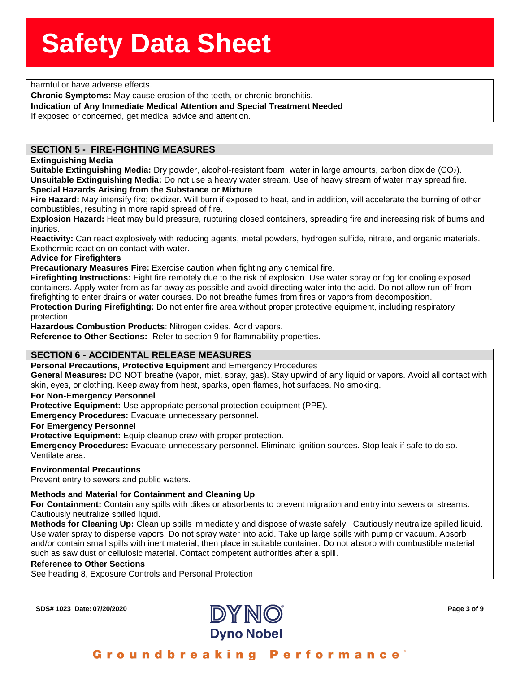**state of the state of the state of the state of the state of the state of the state of the state of the state o**<br> **Sherroful or have adverse effects.** 

**Chronic Symptoms:** May cause erosion of the teeth, or chronic bronchitis.

**ronic Symptoms:** May cau<br>**lication of Any Immediate**<br>xposed or concerned, get m **Indication of Any Immediate Medical Attention and Special Treatment Needed**

If exposed or concerned, get medical advice and attention.

#### **SECTION 5 - FIRE-FIGHTING MEASURES**

#### **Extinguishing Media**

**Suitable Extinguishing Media:** Dry powder, alcohol-resistant foam, water in large amounts, carbon dioxide (CO2). **Unsuitable Extinguishing Media:** Do not use a heavy water stream. Use of heavy stream of water may spread fire.

#### **Special Hazards Arising from the Substance or Mixture**

**Fire Hazard:** May intensify fire; oxidizer. Will burn if exposed to heat, and in addition, will accelerate the burning of other combustibles, resulting in more rapid spread of fire.

**Explosion Hazard:** Heat may build pressure, rupturing closed containers, spreading fire and increasing risk of burns and injuries.

**Reactivity:** Can react explosively with reducing agents, metal powders, hydrogen sulfide, nitrate, and organic materials. Exothermic reaction on contact with water.

#### **Advice for Firefighters**

**Precautionary Measures Fire:** Exercise caution when fighting any chemical fire.

**Firefighting Instructions:** Fight fire remotely due to the risk of explosion. Use water spray or fog for cooling exposed containers. Apply water from as far away as possible and avoid directing water into the acid. Do not allow run-off from firefighting to enter drains or water courses. Do not breathe fumes from fires or vapors from decomposition. **Protection During Firefighting:** Do not enter fire area without proper protective equipment, including respiratory

protection.

**Hazardous Combustion Products**: Nitrogen oxides. Acrid vapors.

**Reference to Other Sections:** Refer to section 9 for flammability properties.

#### **SECTION 6 - ACCIDENTAL RELEASE MEASURES**

**Personal Precautions, Protective Equipment** and Emergency Procedures

**General Measures:** DO NOT breathe (vapor, mist, spray, gas). Stay upwind of any liquid or vapors. Avoid all contact with skin, eyes, or clothing. Keep away from heat, sparks, open flames, hot surfaces. No smoking.

#### **For Non-Emergency Personnel**

**Protective Equipment:** Use appropriate personal protection equipment (PPE).

**Emergency Procedures:** Evacuate unnecessary personnel.

#### **For Emergency Personnel**

**Protective Equipment:** Equip cleanup crew with proper protection.

**Emergency Procedures:** Evacuate unnecessary personnel. Eliminate ignition sources. Stop leak if safe to do so. Ventilate area.

#### **Environmental Precautions**

Prevent entry to sewers and public waters.

#### **Methods and Material for Containment and Cleaning Up**

**For Containment:** Contain any spills with dikes or absorbents to prevent migration and entry into sewers or streams. Cautiously neutralize spilled liquid.

**Methods for Cleaning Up:** Clean up spills immediately and dispose of waste safely. Cautiously neutralize spilled liquid. Use water spray to disperse vapors. Do not spray water into acid. Take up large spills with pump or vacuum. Absorb and/or contain small spills with inert material, then place in suitable container. Do not absorb with combustible material such as saw dust or cellulosic material. Contact competent authorities after a spill.

#### **Reference to Other Sections**

See heading 8, Exposure Controls and Personal Protection

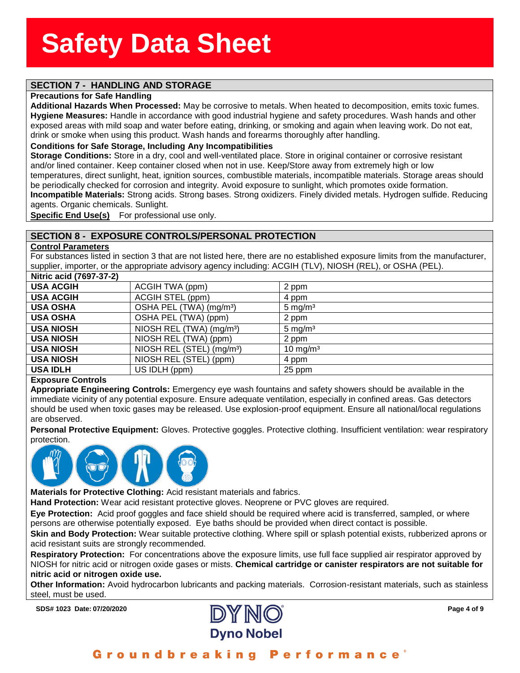### **SECTION 7 - HANDLING AND STORAGE**

#### **Precautions for Safe Handling**

ecautions for Safe Handlin<br>ditional Hazards When Pr<br>giene Measures: Handle in **Additional Hazards When Processed:** May be corrosive to metals. When heated to decomposition, emits toxic fumes. **Hygiene Measures:** Handle in accordance with good industrial hygiene and safety procedures. Wash hands and other exposed areas with mild soap and water before eating, drinking, or smoking and again when leaving work. Do not eat, drink or smoke when using this product. Wash hands and forearms thoroughly after handling.

#### **Conditions for Safe Storage, Including Any Incompatibilities**

**Storage Conditions:** Store in a dry, cool and well-ventilated place. Store in original container or corrosive resistant and/or lined container. Keep container closed when not in use. Keep/Store away from extremely high or low temperatures, direct sunlight, heat, ignition sources, combustible materials, incompatible materials. Storage areas should be periodically checked for corrosion and integrity. Avoid exposure to sunlight, which promotes oxide formation. **Incompatible Materials:** Strong acids. Strong bases. Strong oxidizers. Finely divided metals. Hydrogen sulfide. Reducing agents. Organic chemicals. Sunlight.

**Specific End Use(s)** For professional use only.

### **SECTION 8 - EXPOSURE CONTROLS/PERSONAL PROTECTION**

#### **Control Parameters**

For substances listed in section 3 that are not listed here, there are no established exposure limits from the manufacturer, supplier, importer, or the appropriate advisory agency including: ACGIH (TLV), NIOSH (REL), or OSHA (PEL).

| Nitric acid (7697-37-2) |                                       |                      |
|-------------------------|---------------------------------------|----------------------|
| <b>USA ACGIH</b>        | ACGIH TWA (ppm)                       | 2 ppm                |
| <b>USA ACGIH</b>        | ACGIH STEL (ppm)                      | 4 ppm                |
| <b>USA OSHA</b>         | OSHA PEL (TWA) (mg/m <sup>3</sup> )   | 5 mg/m <sup>3</sup>  |
| <b>USA OSHA</b>         | OSHA PEL (TWA) (ppm)                  | 2 ppm                |
| <b>USA NIOSH</b>        | NIOSH REL (TWA) (mg/m <sup>3</sup> )  | $5 \text{ mg/m}^3$   |
| <b>USA NIOSH</b>        | NIOSH REL (TWA) (ppm)                 | 2 ppm                |
| <b>USA NIOSH</b>        | NIOSH REL (STEL) (mg/m <sup>3</sup> ) | 10 mg/m <sup>3</sup> |
| <b>USA NIOSH</b>        | NIOSH REL (STEL) (ppm)                | 4 ppm                |
| <b>USA IDLH</b>         | US IDLH (ppm)                         | 25 ppm               |
|                         |                                       |                      |

#### **Exposure Controls**

**Appropriate Engineering Controls:** Emergency eye wash fountains and safety showers should be available in the immediate vicinity of any potential exposure. Ensure adequate ventilation, especially in confined areas. Gas detectors should be used when toxic gases may be released. Use explosion-proof equipment. Ensure all national/local regulations are observed.

**Personal Protective Equipment:** Gloves. Protective goggles. Protective clothing. Insufficient ventilation: wear respiratory protection.



**Materials for Protective Clothing:** Acid resistant materials and fabrics.

**Hand Protection:** Wear acid resistant protective gloves. Neoprene or PVC gloves are required.

**Eye Protection:** Acid proof goggles and face shield should be required where acid is transferred, sampled, or where persons are otherwise potentially exposed. Eye baths should be provided when direct contact is possible.

**Skin and Body Protection:** Wear suitable protective clothing. Where spill or splash potential exists, rubberized aprons or acid resistant suits are strongly recommended.

**Respiratory Protection:** For concentrations above the exposure limits, use full face supplied air respirator approved by NIOSH for nitric acid or nitrogen oxide gases or mists. **Chemical cartridge or canister respirators are not suitable for nitric acid or nitrogen oxide use.**

**Other Information:** Avoid hydrocarbon lubricants and packing materials. Corrosion-resistant materials, such as stainless steel, must be used.

**SDS# 1023 Date: 07/20/2020 Page 4 of 9**

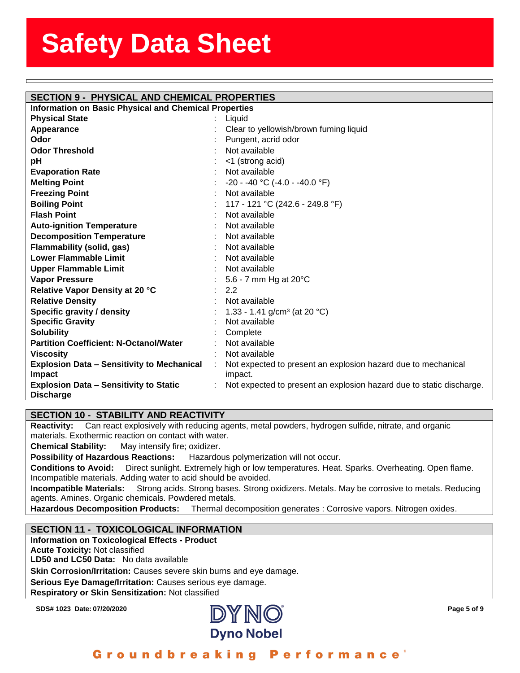#### **SECTION 9 - PHYSICAL AND CHEMICAL PROPERTIES**

| Information on Basic Physical and Chemical Properties |          |
|-------------------------------------------------------|----------|
| <b>Physical State</b>                                 | : Liquid |

assess State State State State State State State State State State State State State State State State State St<br>State State State State State State State State State State State State State State State State State State St

| . ,JIVAI UWW                                      |   | Liyuiu                                                               |
|---------------------------------------------------|---|----------------------------------------------------------------------|
| Appearance                                        |   | Clear to yellowish/brown fuming liquid                               |
| Odor                                              |   | Pungent, acrid odor                                                  |
| <b>Odor Threshold</b>                             |   | Not available                                                        |
| pH                                                |   | <1 (strong acid)                                                     |
| <b>Evaporation Rate</b>                           |   | Not available                                                        |
| <b>Melting Point</b>                              |   | $-20 - -40$ °C ( $-4.0 - -40.0$ °F)                                  |
| <b>Freezing Point</b>                             |   | Not available                                                        |
| <b>Boiling Point</b>                              |   | 117 - 121 °C (242.6 - 249.8 °F)                                      |
| <b>Flash Point</b>                                |   | Not available                                                        |
| <b>Auto-ignition Temperature</b>                  |   | Not available                                                        |
| <b>Decomposition Temperature</b>                  |   | Not available                                                        |
| <b>Flammability (solid, gas)</b>                  |   | Not available                                                        |
| Lower Flammable Limit                             |   | Not available                                                        |
| <b>Upper Flammable Limit</b>                      |   | Not available                                                        |
| <b>Vapor Pressure</b>                             |   | 5.6 - 7 mm Hg at 20°C                                                |
| Relative Vapor Density at 20 °C                   |   | 2.2                                                                  |
| <b>Relative Density</b>                           |   | Not available                                                        |
| Specific gravity / density                        |   | 1.33 - 1.41 g/cm <sup>3</sup> (at 20 °C)                             |
| <b>Specific Gravity</b>                           |   | Not available                                                        |
| <b>Solubility</b>                                 |   | Complete                                                             |
| <b>Partition Coefficient: N-Octanol/Water</b>     |   | Not available                                                        |
| <b>Viscosity</b>                                  |   | Not available                                                        |
| <b>Explosion Data - Sensitivity to Mechanical</b> | ÷ | Not expected to present an explosion hazard due to mechanical        |
| <b>Impact</b>                                     |   | impact.                                                              |
| <b>Explosion Data - Sensitivity to Static</b>     |   | Not expected to present an explosion hazard due to static discharge. |
| <b>Discharge</b>                                  |   |                                                                      |

#### **SECTION 10 - STABILITY AND REACTIVITY**

**Reactivity:** Can react explosively with reducing agents, metal powders, hydrogen sulfide, nitrate, and organic materials. Exothermic reaction on contact with water.

**Chemical Stability:** May intensify fire; oxidizer.

**Possibility of Hazardous Reactions:** Hazardous polymerization will not occur.

**Conditions to Avoid:** Direct sunlight. Extremely high or low temperatures. Heat. Sparks. Overheating. Open flame. Incompatible materials. Adding water to acid should be avoided.

**Incompatible Materials:** Strong acids. Strong bases. Strong oxidizers. Metals. May be corrosive to metals. Reducing agents. Amines. Organic chemicals. Powdered metals.

**Hazardous Decomposition Products:** Thermal decomposition generates : Corrosive vapors. Nitrogen oxides.

#### **SECTION 11 - TOXICOLOGICAL INFORMATION**

**Information on Toxicological Effects - Product Acute Toxicity:** Not classified **LD50 and LC50 Data:** No data available **Skin Corrosion/Irritation:** Causes severe skin burns and eye damage. **Serious Eye Damage/Irritation:** Causes serious eye damage. **Respiratory or Skin Sensitization:** Not classified



#### Groundbreaking **Performance**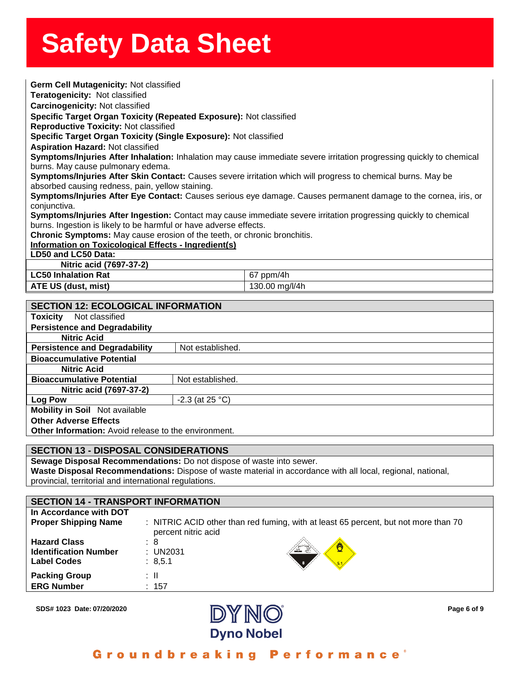| Germ Cell Mutagenicity: Not classified                                      |                   |                                                                                                                      |  |  |
|-----------------------------------------------------------------------------|-------------------|----------------------------------------------------------------------------------------------------------------------|--|--|
| Teratogenicity: Not classified                                              |                   |                                                                                                                      |  |  |
| Carcinogenicity: Not classified                                             |                   |                                                                                                                      |  |  |
| Specific Target Organ Toxicity (Repeated Exposure): Not classified          |                   |                                                                                                                      |  |  |
| <b>Reproductive Toxicity: Not classified</b>                                |                   |                                                                                                                      |  |  |
| Specific Target Organ Toxicity (Single Exposure): Not classified            |                   |                                                                                                                      |  |  |
| <b>Aspiration Hazard: Not classified</b>                                    |                   |                                                                                                                      |  |  |
|                                                                             |                   | Symptoms/Injuries After Inhalation: Inhalation may cause immediate severe irritation progressing quickly to chemical |  |  |
| burns. May cause pulmonary edema.                                           |                   |                                                                                                                      |  |  |
|                                                                             |                   | Symptoms/Injuries After Skin Contact: Causes severe irritation which will progress to chemical burns. May be         |  |  |
| absorbed causing redness, pain, yellow staining.                            |                   |                                                                                                                      |  |  |
|                                                                             |                   | Symptoms/Injuries After Eye Contact: Causes serious eye damage. Causes permanent damage to the cornea, iris, or      |  |  |
| conjunctiva.                                                                |                   |                                                                                                                      |  |  |
|                                                                             |                   | Symptoms/Injuries After Ingestion: Contact may cause immediate severe irritation progressing quickly to chemical     |  |  |
| burns. Ingestion is likely to be harmful or have adverse effects.           |                   |                                                                                                                      |  |  |
| Chronic Symptoms: May cause erosion of the teeth, or chronic bronchitis.    |                   |                                                                                                                      |  |  |
| Information on Toxicological Effects - Ingredient(s)<br>LD50 and LC50 Data: |                   |                                                                                                                      |  |  |
| Nitric acid (7697-37-2)                                                     |                   |                                                                                                                      |  |  |
| <b>LC50 Inhalation Rat</b>                                                  |                   | 67 ppm/4h                                                                                                            |  |  |
| ATE US (dust, mist)                                                         |                   | 130.00 mg/l/4h                                                                                                       |  |  |
|                                                                             |                   |                                                                                                                      |  |  |
| <b>SECTION 12: ECOLOGICAL INFORMATION</b>                                   |                   |                                                                                                                      |  |  |
| Not classified<br><b>Toxicity</b>                                           |                   |                                                                                                                      |  |  |
| <b>Persistence and Degradability</b>                                        |                   |                                                                                                                      |  |  |
| <b>Nitric Acid</b>                                                          |                   |                                                                                                                      |  |  |
| <b>Persistence and Degradability</b>                                        | Not established.  |                                                                                                                      |  |  |
| <b>Bioaccumulative Potential</b>                                            |                   |                                                                                                                      |  |  |
| <b>Nitric Acid</b>                                                          |                   |                                                                                                                      |  |  |
| <b>Bioaccumulative Potential</b>                                            | Not established.  |                                                                                                                      |  |  |
| Nitric acid (7697-37-2)                                                     |                   |                                                                                                                      |  |  |
| <b>Log Pow</b>                                                              | $-2.3$ (at 25 °C) |                                                                                                                      |  |  |
| <b>Mobility in Soil</b> Not available                                       |                   |                                                                                                                      |  |  |
| <b>Other Adverse Effects</b>                                                |                   |                                                                                                                      |  |  |
| <b>Other Information:</b> Avoid release to the environment.                 |                   |                                                                                                                      |  |  |

#### **SECTION 13 - DISPOSAL CONSIDERATIONS**

**Sewage Disposal Recommendations:** Do not dispose of waste into sewer. **Waste Disposal Recommendations:** Dispose of waste material in accordance with all local, regional, national, provincial, territorial and international regulations.

#### **SECTION 14 - TRANSPORT INFORMATION In Accordance with DOT Proper Shipping Name** : NITRIC ACID other than red fuming, with at least 65 percent, but not more than 70 percent nitric acid **Hazard Class** : 8 **Identification Number** : UN2031 **Label Codes** : 8,5.1 **Packing Group** : II **ERG Number** : 157



Groundbreaking Performance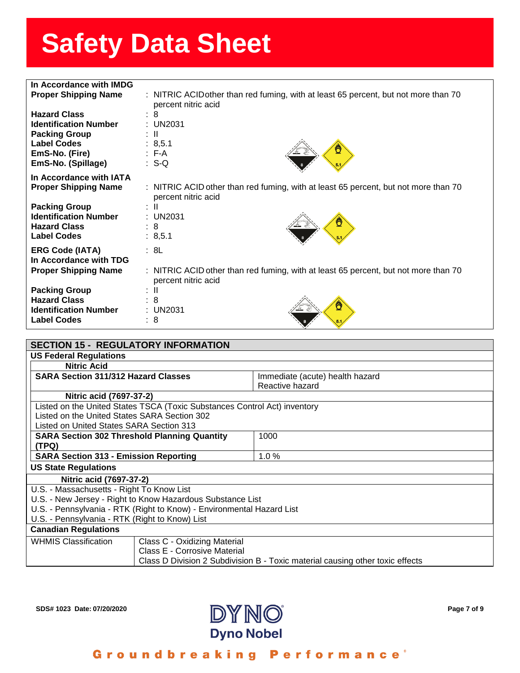| In Accordance with IMDG      |                                                                                     |
|------------------------------|-------------------------------------------------------------------------------------|
|                              |                                                                                     |
| <b>Proper Shipping Name</b>  | : NITRIC ACIDother than red fuming, with at least 65 percent, but not more than 70  |
|                              | percent nitric acid                                                                 |
| <b>Hazard Class</b>          | $\therefore$ 8                                                                      |
| <b>Identification Number</b> | $:$ UN2031                                                                          |
| <b>Packing Group</b>         | t III.                                                                              |
| <b>Label Codes</b>           | : 8,5.1                                                                             |
| EmS-No. (Fire)               | $E - A$                                                                             |
| EmS-No. (Spillage)           | $: S-Q$                                                                             |
|                              |                                                                                     |
| In Accordance with IATA      |                                                                                     |
| <b>Proper Shipping Name</b>  | : NITRIC ACID other than red fuming, with at least 65 percent, but not more than 70 |
|                              | percent nitric acid                                                                 |
| <b>Packing Group</b>         | ÷ II                                                                                |
| <b>Identification Number</b> | : UN2031                                                                            |
| <b>Hazard Class</b>          | $\therefore$ 8                                                                      |
| <b>Label Codes</b>           | : 8,5.1                                                                             |
|                              |                                                                                     |
| <b>ERG Code (IATA)</b>       | : 8L                                                                                |
| In Accordance with TDG       |                                                                                     |
| <b>Proper Shipping Name</b>  | : NITRIC ACID other than red fuming, with at least 65 percent, but not more than 70 |
|                              | percent nitric acid                                                                 |
| <b>Packing Group</b>         | ÷Ш                                                                                  |
| <b>Hazard Class</b>          | : 8                                                                                 |
|                              |                                                                                     |
| <b>Identification Number</b> | $\pm$ UN2031                                                                        |
| <b>Label Codes</b>           | : 8                                                                                 |
|                              |                                                                                     |

| <b>SECTION 15 - REGULATORY INFORMATION</b>                                    |                                 |  |
|-------------------------------------------------------------------------------|---------------------------------|--|
| <b>US Federal Regulations</b>                                                 |                                 |  |
| <b>Nitric Acid</b>                                                            |                                 |  |
| <b>SARA Section 311/312 Hazard Classes</b>                                    | Immediate (acute) health hazard |  |
|                                                                               | Reactive hazard                 |  |
| Nitric acid (7697-37-2)                                                       |                                 |  |
| Listed on the United States TSCA (Toxic Substances Control Act) inventory     |                                 |  |
| Listed on the United States SARA Section 302                                  |                                 |  |
| Listed on United States SARA Section 313                                      |                                 |  |
| <b>SARA Section 302 Threshold Planning Quantity</b>                           | 1000                            |  |
| (TPQ)                                                                         |                                 |  |
| <b>SARA Section 313 - Emission Reporting</b><br>1.0%                          |                                 |  |
| <b>US State Regulations</b>                                                   |                                 |  |
| Nitric acid (7697-37-2)                                                       |                                 |  |
| U.S. - Massachusetts - Right To Know List                                     |                                 |  |
| U.S. - New Jersey - Right to Know Hazardous Substance List                    |                                 |  |
| U.S. - Pennsylvania - RTK (Right to Know) - Environmental Hazard List         |                                 |  |
| U.S. - Pennsylvania - RTK (Right to Know) List                                |                                 |  |
| <b>Canadian Regulations</b>                                                   |                                 |  |
| <b>WHMIS Classification</b><br>Class C - Oxidizing Material                   |                                 |  |
| Class E - Corrosive Material                                                  |                                 |  |
| Class D Division 2 Subdivision B - Toxic material causing other toxic effects |                                 |  |



Groundbreaking Performance<sup>®</sup>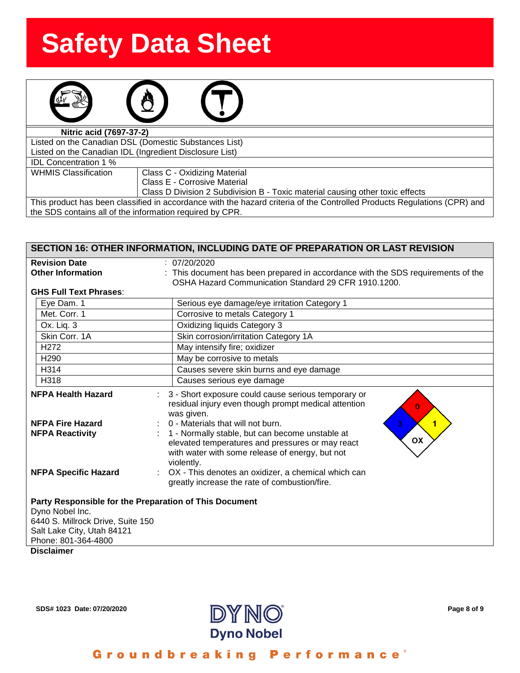| Nitric acid (7697-37-2)                                 |  |  |
|---------------------------------------------------------|--|--|
| Listed on the Canadian DSL (Domestic Substances List)   |  |  |
| Listed on the Canadian IDL (Ingredient Disclosure List) |  |  |
| $\sim$ $\sim$<br>.                                      |  |  |

IDL Concentration 1 %

WHMIS Classification | Class C - Oxidizing Material

Class E - Corrosive Material

Class D Division 2 Subdivision B - Toxic material causing other toxic effects

This product has been classified in accordance with the hazard criteria of the Controlled Products Regulations (CPR) and the SDS contains all of the information required by CPR.

| <b>SECTION 16: OTHER INFORMATION, INCLUDING DATE OF PREPARATION OR LAST REVISION</b>                                                                                |                                                                                                                                                                                                                                                                                                                |  |  |  |
|---------------------------------------------------------------------------------------------------------------------------------------------------------------------|----------------------------------------------------------------------------------------------------------------------------------------------------------------------------------------------------------------------------------------------------------------------------------------------------------------|--|--|--|
| <b>Revision Date</b>                                                                                                                                                | : 07/20/2020                                                                                                                                                                                                                                                                                                   |  |  |  |
| <b>Other Information</b>                                                                                                                                            | : This document has been prepared in accordance with the SDS requirements of the<br>OSHA Hazard Communication Standard 29 CFR 1910.1200.                                                                                                                                                                       |  |  |  |
| <b>GHS Full Text Phrases:</b>                                                                                                                                       |                                                                                                                                                                                                                                                                                                                |  |  |  |
| Eye Dam. 1                                                                                                                                                          | Serious eye damage/eye irritation Category 1                                                                                                                                                                                                                                                                   |  |  |  |
| Met. Corr. 1                                                                                                                                                        | Corrosive to metals Category 1                                                                                                                                                                                                                                                                                 |  |  |  |
| Ox. Liq. 3                                                                                                                                                          | Oxidizing liquids Category 3                                                                                                                                                                                                                                                                                   |  |  |  |
| Skin Corr, 1A                                                                                                                                                       | Skin corrosion/irritation Category 1A                                                                                                                                                                                                                                                                          |  |  |  |
| H <sub>272</sub>                                                                                                                                                    | May intensify fire; oxidizer                                                                                                                                                                                                                                                                                   |  |  |  |
| H <sub>290</sub>                                                                                                                                                    | May be corrosive to metals                                                                                                                                                                                                                                                                                     |  |  |  |
| H314                                                                                                                                                                | Causes severe skin burns and eye damage                                                                                                                                                                                                                                                                        |  |  |  |
| H318                                                                                                                                                                | Causes serious eye damage                                                                                                                                                                                                                                                                                      |  |  |  |
| <b>NFPA Health Hazard</b><br>÷.<br><b>NFPA Fire Hazard</b><br><b>NFPA Reactivity</b>                                                                                | 3 - Short exposure could cause serious temporary or<br>residual injury even though prompt medical attention<br>$\bf{0}$<br>was given.<br>0 - Materials that will not burn.<br>3 <sup>1</sup><br>1<br>1 - Normally stable, but can become unstable at<br>OX<br>elevated temperatures and pressures or may react |  |  |  |
| <b>NFPA Specific Hazard</b>                                                                                                                                         | with water with some release of energy, but not<br>violently.<br>OX - This denotes an oxidizer, a chemical which can<br>greatly increase the rate of combustion/fire.                                                                                                                                          |  |  |  |
| Party Responsible for the Preparation of This Document<br>Dyno Nobel Inc.<br>6440 S. Millrock Drive, Suite 150<br>Salt Lake City, Utah 84121<br>Phone: 801-364-4800 |                                                                                                                                                                                                                                                                                                                |  |  |  |
| <b>Disclaimer</b>                                                                                                                                                   |                                                                                                                                                                                                                                                                                                                |  |  |  |



Groundbreaking **Performance**<sup>®</sup>